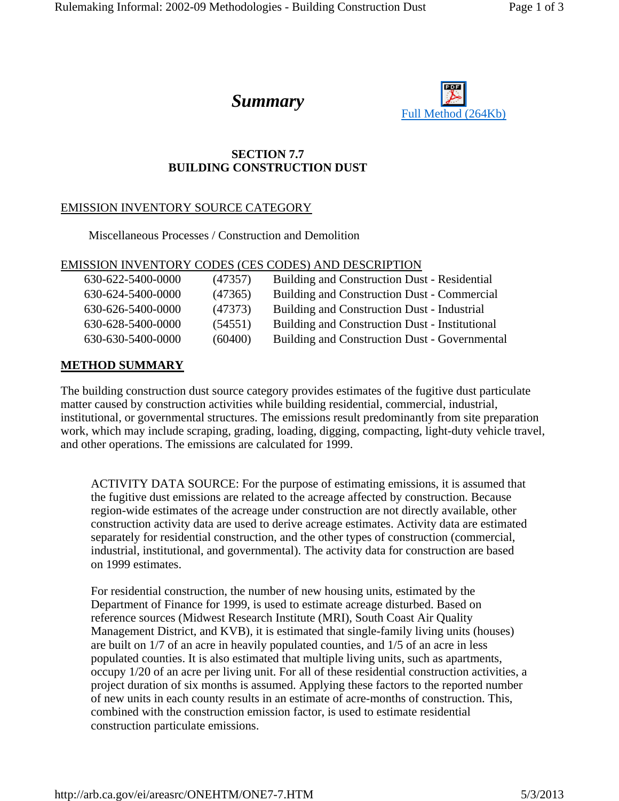

## **SECTION 7.7 BUILDING CONSTRUCTION DUST**

# EMISSION INVENTORY SOURCE CATEGORY

Miscellaneous Processes / Construction and Demolition

#### EMISSION INVENTORY CODES (CES CODES) AND DESCRIPTION

| 630-622-5400-0000 | (47357) | Building and Construction Dust - Residential         |
|-------------------|---------|------------------------------------------------------|
| 630-624-5400-0000 | (47365) | Building and Construction Dust - Commercial          |
| 630-626-5400-0000 | (47373) | Building and Construction Dust - Industrial          |
| 630-628-5400-0000 | (54551) | Building and Construction Dust - Institutional       |
| 630-630-5400-0000 | (60400) | <b>Building and Construction Dust - Governmental</b> |

### **METHOD SUMMARY**

The building construction dust source category provides estimates of the fugitive dust particulate matter caused by construction activities while building residential, commercial, industrial, institutional, or governmental structures. The emissions result predominantly from site preparation work, which may include scraping, grading, loading, digging, compacting, light-duty vehicle travel, and other operations. The emissions are calculated for 1999.

ACTIVITY DATA SOURCE: For the purpose of estimating emissions, it is assumed that the fugitive dust emissions are related to the acreage affected by construction. Because region-wide estimates of the acreage under construction are not directly available, other construction activity data are used to derive acreage estimates. Activity data are estimated separately for residential construction, and the other types of construction (commercial, industrial, institutional, and governmental). The activity data for construction are based on 1999 estimates.

For residential construction, the number of new housing units, estimated by the Department of Finance for 1999, is used to estimate acreage disturbed. Based on reference sources (Midwest Research Institute (MRI), South Coast Air Quality Management District, and KVB), it is estimated that single-family living units (houses) are built on 1/7 of an acre in heavily populated counties, and 1/5 of an acre in less populated counties. It is also estimated that multiple living units, such as apartments, occupy 1/20 of an acre per living unit. For all of these residential construction activities, a project duration of six months is assumed. Applying these factors to the reported number of new units in each county results in an estimate of acre-months of construction. This, combined with the construction emission factor, is used to estimate residential construction particulate emissions.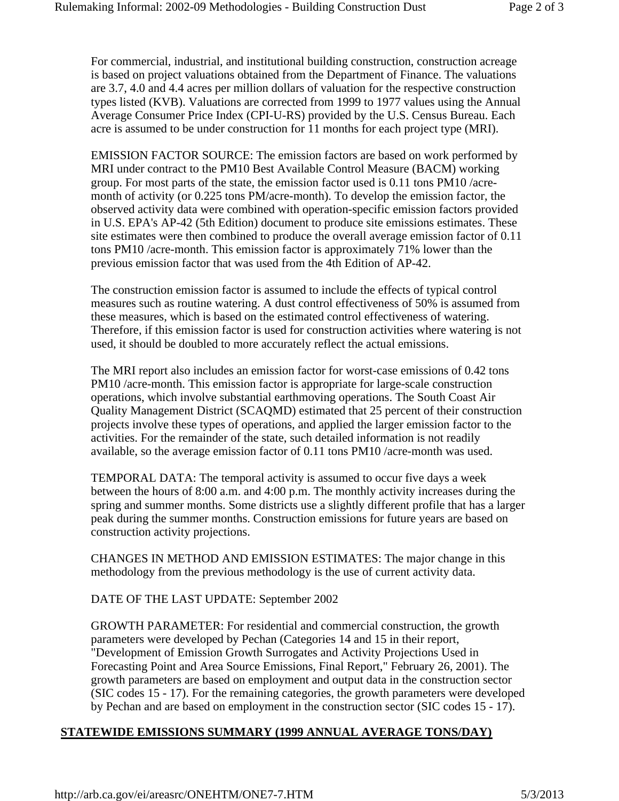For commercial, industrial, and institutional building construction, construction acreage is based on project valuations obtained from the Department of Finance. The valuations are 3.7, 4.0 and 4.4 acres per million dollars of valuation for the respective construction types listed (KVB). Valuations are corrected from 1999 to 1977 values using the Annual Average Consumer Price Index (CPI-U-RS) provided by the U.S. Census Bureau. Each acre is assumed to be under construction for 11 months for each project type (MRI).

EMISSION FACTOR SOURCE: The emission factors are based on work performed by MRI under contract to the PM10 Best Available Control Measure (BACM) working group. For most parts of the state, the emission factor used is 0.11 tons PM10 /acremonth of activity (or 0.225 tons PM/acre-month). To develop the emission factor, the observed activity data were combined with operation-specific emission factors provided in U.S. EPA's AP-42 (5th Edition) document to produce site emissions estimates. These site estimates were then combined to produce the overall average emission factor of 0.11 tons PM10 /acre-month. This emission factor is approximately 71% lower than the previous emission factor that was used from the 4th Edition of AP-42.

The construction emission factor is assumed to include the effects of typical control measures such as routine watering. A dust control effectiveness of 50% is assumed from these measures, which is based on the estimated control effectiveness of watering. Therefore, if this emission factor is used for construction activities where watering is not used, it should be doubled to more accurately reflect the actual emissions.

The MRI report also includes an emission factor for worst-case emissions of 0.42 tons PM10 /acre-month. This emission factor is appropriate for large-scale construction operations, which involve substantial earthmoving operations. The South Coast Air Quality Management District (SCAQMD) estimated that 25 percent of their construction projects involve these types of operations, and applied the larger emission factor to the activities. For the remainder of the state, such detailed information is not readily available, so the average emission factor of 0.11 tons PM10 /acre-month was used.

TEMPORAL DATA: The temporal activity is assumed to occur five days a week between the hours of 8:00 a.m. and 4:00 p.m. The monthly activity increases during the spring and summer months. Some districts use a slightly different profile that has a larger peak during the summer months. Construction emissions for future years are based on construction activity projections.

CHANGES IN METHOD AND EMISSION ESTIMATES: The major change in this methodology from the previous methodology is the use of current activity data.

DATE OF THE LAST UPDATE: September 2002

GROWTH PARAMETER: For residential and commercial construction, the growth parameters were developed by Pechan (Categories 14 and 15 in their report, "Development of Emission Growth Surrogates and Activity Projections Used in Forecasting Point and Area Source Emissions, Final Report," February 26, 2001). The growth parameters are based on employment and output data in the construction sector (SIC codes 15 - 17). For the remaining categories, the growth parameters were developed by Pechan and are based on employment in the construction sector (SIC codes 15 - 17).

# **STATEWIDE EMISSIONS SUMMARY (1999 ANNUAL AVERAGE TONS/DAY)**